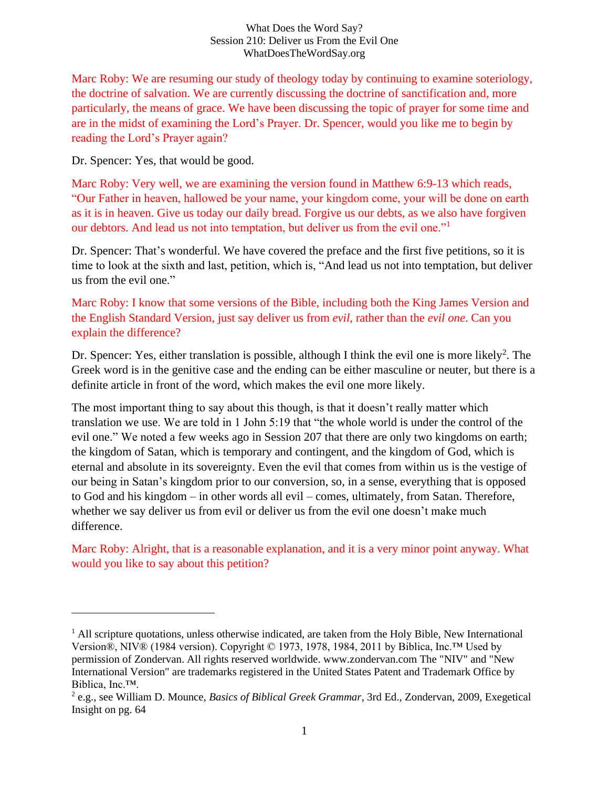#### What Does the Word Say? Session 210: Deliver us From the Evil One WhatDoesTheWordSay.org

Marc Roby: We are resuming our study of theology today by continuing to examine soteriology, the doctrine of salvation. We are currently discussing the doctrine of sanctification and, more particularly, the means of grace. We have been discussing the topic of prayer for some time and are in the midst of examining the Lord's Prayer. Dr. Spencer, would you like me to begin by reading the Lord's Prayer again?

Dr. Spencer: Yes, that would be good.

Marc Roby: Very well, we are examining the version found in Matthew 6:9-13 which reads, "Our Father in heaven, hallowed be your name, your kingdom come, your will be done on earth as it is in heaven. Give us today our daily bread. Forgive us our debts, as we also have forgiven our debtors. And lead us not into temptation, but deliver us from the evil one."<sup>1</sup>

Dr. Spencer: That's wonderful. We have covered the preface and the first five petitions, so it is time to look at the sixth and last, petition, which is, "And lead us not into temptation, but deliver us from the evil one."

## Marc Roby: I know that some versions of the Bible, including both the King James Version and the English Standard Version, just say deliver us from *evil*, rather than the *evil one*. Can you explain the difference?

Dr. Spencer: Yes, either translation is possible, although I think the evil one is more likely<sup>2</sup>. The Greek word is in the genitive case and the ending can be either masculine or neuter, but there is a definite article in front of the word, which makes the evil one more likely.

The most important thing to say about this though, is that it doesn't really matter which translation we use. We are told in 1 John 5:19 that "the whole world is under the control of the evil one." We noted a few weeks ago in Session 207 that there are only two kingdoms on earth; the kingdom of Satan, which is temporary and contingent, and the kingdom of God, which is eternal and absolute in its sovereignty. Even the evil that comes from within us is the vestige of our being in Satan's kingdom prior to our conversion, so, in a sense, everything that is opposed to God and his kingdom – in other words all evil – comes, ultimately, from Satan. Therefore, whether we say deliver us from evil or deliver us from the evil one doesn't make much difference.

Marc Roby: Alright, that is a reasonable explanation, and it is a very minor point anyway. What would you like to say about this petition?

 $<sup>1</sup>$  All scripture quotations, unless otherwise indicated, are taken from the Holy Bible, New International</sup> Version®, NIV® (1984 version). Copyright © 1973, 1978, 1984, 2011 by Biblica, Inc.™ Used by permission of Zondervan. All rights reserved worldwide. www.zondervan.com The "NIV" and "New International Version" are trademarks registered in the United States Patent and Trademark Office by Biblica, Inc.™.

<sup>2</sup> e.g., see William D. Mounce, *Basics of Biblical Greek Grammar*, 3rd Ed., Zondervan, 2009, Exegetical Insight on pg. 64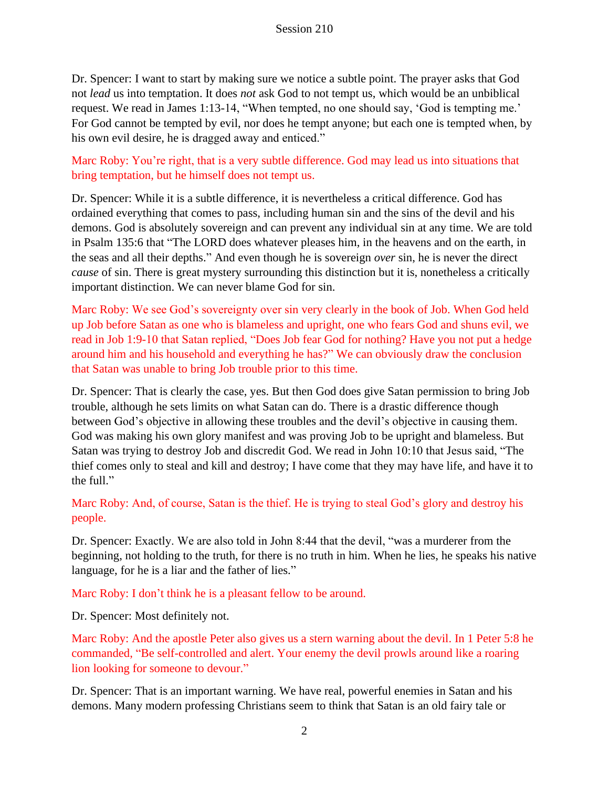Dr. Spencer: I want to start by making sure we notice a subtle point. The prayer asks that God not *lead* us into temptation. It does *not* ask God to not tempt us, which would be an unbiblical request. We read in James 1:13-14, "When tempted, no one should say, 'God is tempting me.' For God cannot be tempted by evil, nor does he tempt anyone; but each one is tempted when, by his own evil desire, he is dragged away and enticed."

Marc Roby: You're right, that is a very subtle difference. God may lead us into situations that bring temptation, but he himself does not tempt us.

Dr. Spencer: While it is a subtle difference, it is nevertheless a critical difference. God has ordained everything that comes to pass, including human sin and the sins of the devil and his demons. God is absolutely sovereign and can prevent any individual sin at any time. We are told in Psalm 135:6 that "The LORD does whatever pleases him, in the heavens and on the earth, in the seas and all their depths." And even though he is sovereign *over* sin, he is never the direct *cause* of sin. There is great mystery surrounding this distinction but it is, nonetheless a critically important distinction. We can never blame God for sin.

Marc Roby: We see God's sovereignty over sin very clearly in the book of Job. When God held up Job before Satan as one who is blameless and upright, one who fears God and shuns evil, we read in Job 1:9-10 that Satan replied, "Does Job fear God for nothing? Have you not put a hedge around him and his household and everything he has?" We can obviously draw the conclusion that Satan was unable to bring Job trouble prior to this time.

Dr. Spencer: That is clearly the case, yes. But then God does give Satan permission to bring Job trouble, although he sets limits on what Satan can do. There is a drastic difference though between God's objective in allowing these troubles and the devil's objective in causing them. God was making his own glory manifest and was proving Job to be upright and blameless. But Satan was trying to destroy Job and discredit God. We read in John 10:10 that Jesus said, "The thief comes only to steal and kill and destroy; I have come that they may have life, and have it to the full."

Marc Roby: And, of course, Satan is the thief. He is trying to steal God's glory and destroy his people.

Dr. Spencer: Exactly. We are also told in John 8:44 that the devil, "was a murderer from the beginning, not holding to the truth, for there is no truth in him. When he lies, he speaks his native language, for he is a liar and the father of lies."

Marc Roby: I don't think he is a pleasant fellow to be around.

Dr. Spencer: Most definitely not.

Marc Roby: And the apostle Peter also gives us a stern warning about the devil. In 1 Peter 5:8 he commanded, "Be self-controlled and alert. Your enemy the devil prowls around like a roaring lion looking for someone to devour."

Dr. Spencer: That is an important warning. We have real, powerful enemies in Satan and his demons. Many modern professing Christians seem to think that Satan is an old fairy tale or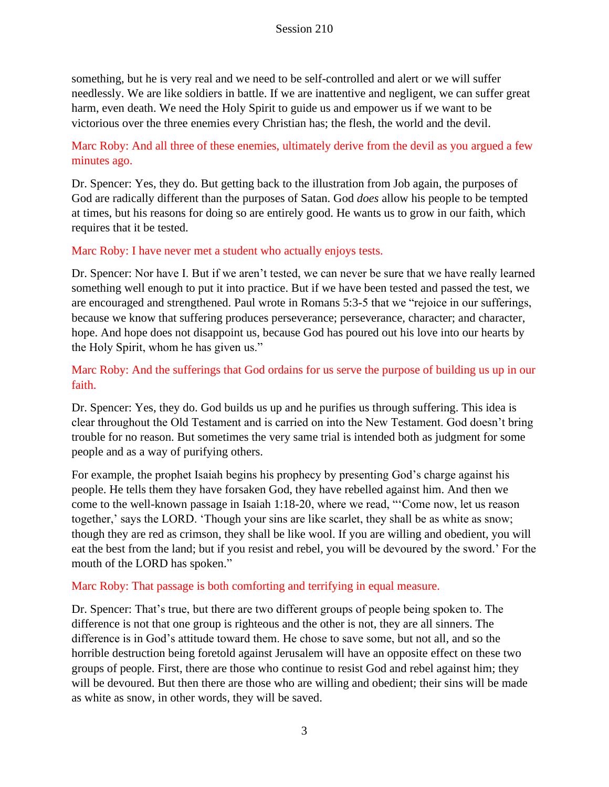something, but he is very real and we need to be self-controlled and alert or we will suffer needlessly. We are like soldiers in battle. If we are inattentive and negligent, we can suffer great harm, even death. We need the Holy Spirit to guide us and empower us if we want to be victorious over the three enemies every Christian has; the flesh, the world and the devil.

# Marc Roby: And all three of these enemies, ultimately derive from the devil as you argued a few minutes ago.

Dr. Spencer: Yes, they do. But getting back to the illustration from Job again, the purposes of God are radically different than the purposes of Satan. God *does* allow his people to be tempted at times, but his reasons for doing so are entirely good. He wants us to grow in our faith, which requires that it be tested.

## Marc Roby: I have never met a student who actually enjoys tests.

Dr. Spencer: Nor have I. But if we aren't tested, we can never be sure that we have really learned something well enough to put it into practice. But if we have been tested and passed the test, we are encouraged and strengthened. Paul wrote in Romans 5:3-5 that we "rejoice in our sufferings, because we know that suffering produces perseverance; perseverance, character; and character, hope. And hope does not disappoint us, because God has poured out his love into our hearts by the Holy Spirit, whom he has given us."

# Marc Roby: And the sufferings that God ordains for us serve the purpose of building us up in our faith.

Dr. Spencer: Yes, they do. God builds us up and he purifies us through suffering. This idea is clear throughout the Old Testament and is carried on into the New Testament. God doesn't bring trouble for no reason. But sometimes the very same trial is intended both as judgment for some people and as a way of purifying others.

For example, the prophet Isaiah begins his prophecy by presenting God's charge against his people. He tells them they have forsaken God, they have rebelled against him. And then we come to the well-known passage in Isaiah 1:18-20, where we read, "'Come now, let us reason together,' says the LORD. 'Though your sins are like scarlet, they shall be as white as snow; though they are red as crimson, they shall be like wool. If you are willing and obedient, you will eat the best from the land; but if you resist and rebel, you will be devoured by the sword.' For the mouth of the LORD has spoken."

#### Marc Roby: That passage is both comforting and terrifying in equal measure.

Dr. Spencer: That's true, but there are two different groups of people being spoken to. The difference is not that one group is righteous and the other is not, they are all sinners. The difference is in God's attitude toward them. He chose to save some, but not all, and so the horrible destruction being foretold against Jerusalem will have an opposite effect on these two groups of people. First, there are those who continue to resist God and rebel against him; they will be devoured. But then there are those who are willing and obedient; their sins will be made as white as snow, in other words, they will be saved.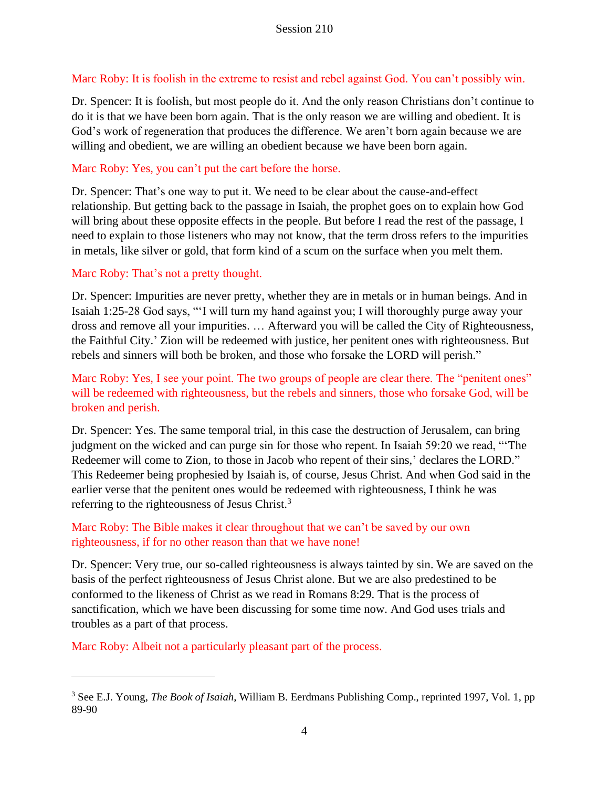## Marc Roby: It is foolish in the extreme to resist and rebel against God. You can't possibly win.

Dr. Spencer: It is foolish, but most people do it. And the only reason Christians don't continue to do it is that we have been born again. That is the only reason we are willing and obedient. It is God's work of regeneration that produces the difference. We aren't born again because we are willing and obedient, we are willing an obedient because we have been born again.

## Marc Roby: Yes, you can't put the cart before the horse.

Dr. Spencer: That's one way to put it. We need to be clear about the cause-and-effect relationship. But getting back to the passage in Isaiah, the prophet goes on to explain how God will bring about these opposite effects in the people. But before I read the rest of the passage, I need to explain to those listeners who may not know, that the term dross refers to the impurities in metals, like silver or gold, that form kind of a scum on the surface when you melt them.

## Marc Roby: That's not a pretty thought.

Dr. Spencer: Impurities are never pretty, whether they are in metals or in human beings. And in Isaiah 1:25-28 God says, "'I will turn my hand against you; I will thoroughly purge away your dross and remove all your impurities. … Afterward you will be called the City of Righteousness, the Faithful City.' Zion will be redeemed with justice, her penitent ones with righteousness. But rebels and sinners will both be broken, and those who forsake the LORD will perish."

Marc Roby: Yes, I see your point. The two groups of people are clear there. The "penitent ones" will be redeemed with righteousness, but the rebels and sinners, those who forsake God, will be broken and perish.

Dr. Spencer: Yes. The same temporal trial, in this case the destruction of Jerusalem, can bring judgment on the wicked and can purge sin for those who repent. In Isaiah 59:20 we read, "'The Redeemer will come to Zion, to those in Jacob who repent of their sins,' declares the LORD." This Redeemer being prophesied by Isaiah is, of course, Jesus Christ. And when God said in the earlier verse that the penitent ones would be redeemed with righteousness, I think he was referring to the righteousness of Jesus Christ.<sup>3</sup>

## Marc Roby: The Bible makes it clear throughout that we can't be saved by our own righteousness, if for no other reason than that we have none!

Dr. Spencer: Very true, our so-called righteousness is always tainted by sin. We are saved on the basis of the perfect righteousness of Jesus Christ alone. But we are also predestined to be conformed to the likeness of Christ as we read in Romans 8:29. That is the process of sanctification, which we have been discussing for some time now. And God uses trials and troubles as a part of that process.

Marc Roby: Albeit not a particularly pleasant part of the process.

<sup>3</sup> See E.J. Young, *The Book of Isaiah*, William B. Eerdmans Publishing Comp., reprinted 1997, Vol. 1, pp 89-90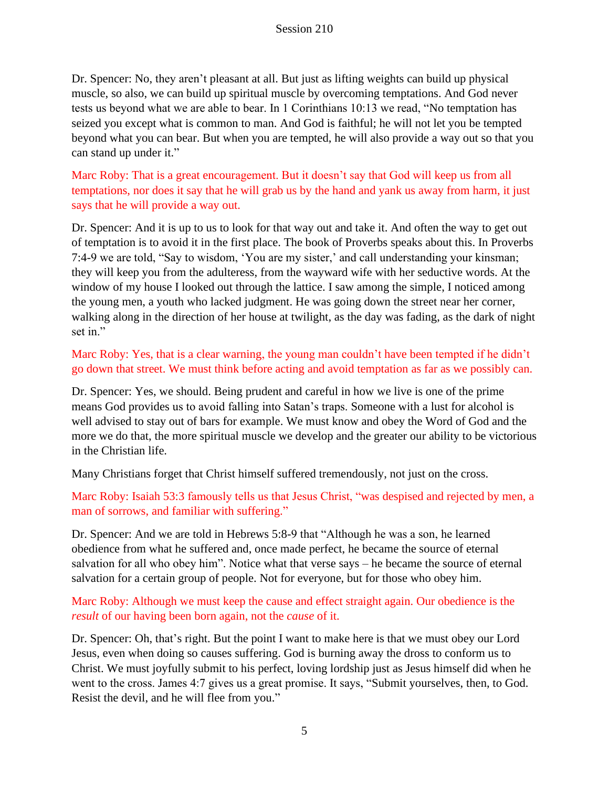Dr. Spencer: No, they aren't pleasant at all. But just as lifting weights can build up physical muscle, so also, we can build up spiritual muscle by overcoming temptations. And God never tests us beyond what we are able to bear. In 1 Corinthians 10:13 we read, "No temptation has seized you except what is common to man. And God is faithful; he will not let you be tempted beyond what you can bear. But when you are tempted, he will also provide a way out so that you can stand up under it."

Marc Roby: That is a great encouragement. But it doesn't say that God will keep us from all temptations, nor does it say that he will grab us by the hand and yank us away from harm, it just says that he will provide a way out.

Dr. Spencer: And it is up to us to look for that way out and take it. And often the way to get out of temptation is to avoid it in the first place. The book of Proverbs speaks about this. In Proverbs 7:4-9 we are told, "Say to wisdom, 'You are my sister,' and call understanding your kinsman; they will keep you from the adulteress, from the wayward wife with her seductive words. At the window of my house I looked out through the lattice. I saw among the simple, I noticed among the young men, a youth who lacked judgment. He was going down the street near her corner, walking along in the direction of her house at twilight, as the day was fading, as the dark of night set in."

Marc Roby: Yes, that is a clear warning, the young man couldn't have been tempted if he didn't go down that street. We must think before acting and avoid temptation as far as we possibly can.

Dr. Spencer: Yes, we should. Being prudent and careful in how we live is one of the prime means God provides us to avoid falling into Satan's traps. Someone with a lust for alcohol is well advised to stay out of bars for example. We must know and obey the Word of God and the more we do that, the more spiritual muscle we develop and the greater our ability to be victorious in the Christian life.

Many Christians forget that Christ himself suffered tremendously, not just on the cross.

Marc Roby: Isaiah 53:3 famously tells us that Jesus Christ, "was despised and rejected by men, a man of sorrows, and familiar with suffering."

Dr. Spencer: And we are told in Hebrews 5:8-9 that "Although he was a son, he learned obedience from what he suffered and, once made perfect, he became the source of eternal salvation for all who obey him". Notice what that verse says – he became the source of eternal salvation for a certain group of people. Not for everyone, but for those who obey him.

Marc Roby: Although we must keep the cause and effect straight again. Our obedience is the *result* of our having been born again, not the *cause* of it.

Dr. Spencer: Oh, that's right. But the point I want to make here is that we must obey our Lord Jesus, even when doing so causes suffering. God is burning away the dross to conform us to Christ. We must joyfully submit to his perfect, loving lordship just as Jesus himself did when he went to the cross. James 4:7 gives us a great promise. It says, "Submit yourselves, then, to God. Resist the devil, and he will flee from you."